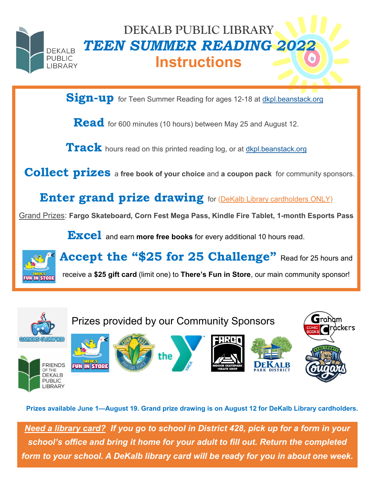

## **DEKALB PUBLIC LIBRARY** *TEEN SUMMER READING 2022* **Instructions**

Sign-up for Teen Summer Reading for ages 12-18 at **dkpl.beanstack.org** 

**Read** for 600 minutes (10 hours) between May 25 and August 12.

Track hours read on this printed reading log, or at **<dkpl.beanstack.org>** 

**Collect prizes** a **free book of your choice** and **a coupon pack** for community sponsors.

**Enter grand prize drawing** for (DeKalb Library cardholders ONLY)

Grand Prizes: **Fargo Skateboard, Corn Fest Mega Pass, Kindle Fire Tablet, 1-month Esports Pass** 

**Excel** and earn **more free books** for every additional 10 hours read.

Accept the "\$25 for 25 Challenge" Read for 25 hours and

receive a **\$25 gift card** (limit one) to **There's Fun in Store**, our main community sponsor!



**Prizes available June 1—August 19. Grand prize drawing is on August 12 for DeKalb Library cardholders.**

*Need a library card? If you go to school in District 428, pick up for a form in your school's office and bring it home for your adult to fill out. Return the completed form to your school. A DeKalb library card will be ready for you in about one week.*